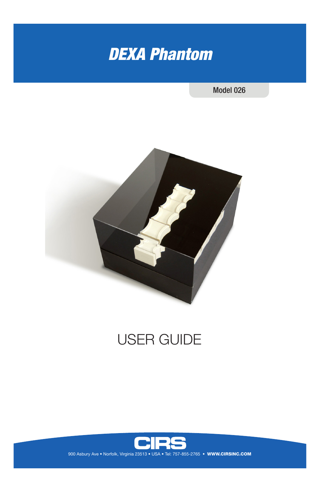

## Model 026



# USER GUIDE

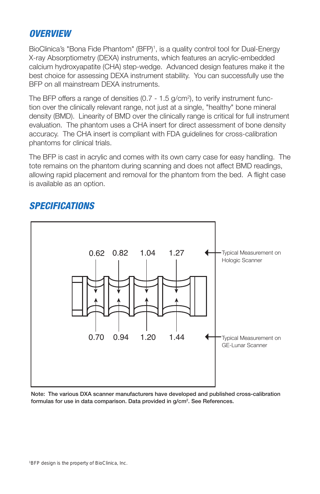## *OVERVIEW*

BioClinica's "Bona Fide Phantom" (BFP)<sup>1</sup>, is a quality control tool for Dual-Energy X-ray Absorptiometry (DEXA) instruments, which features an acrylic-embedded calcium hydroxyapatite (CHA) step-wedge. Advanced design features make it the best choice for assessing DEXA instrument stability. You can successfully use the BFP on all mainstream DEXA instruments.

The BFP offers a range of densities (0.7 - 1.5 g/cm<sup>2</sup>), to verify instrument function over the clinically relevant range, not just at a single, "healthy" bone mineral density (BMD). Linearity of BMD over the clinically range is critical for full instrument evaluation. The phantom uses a CHA insert for direct assessment of bone density accuracy. The CHA insert is compliant with FDA guidelines for cross-calibration phantoms for clinical trials.

The BFP is cast in acrylic and comes with its own carry case for easy handling. The tote remains on the phantom during scanning and does not affect BMD readings, allowing rapid placement and removal for the phantom from the bed. A flight case is available as an option.



# *SPECIFICATIONS*

Note: The various DXA scanner manufacturers have developed and published cross-calibration formulas for use in data comparison. Data provided in g/cm2 . See References.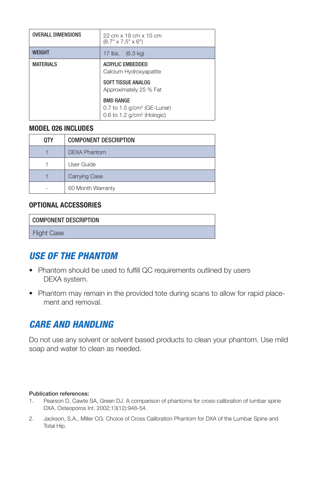| <b>OVERALL DIMENSIONS</b> | 22 cm x 19 cm x 15 cm<br>$(8.7" \times 7.5" \times 6")$                                      |  |
|---------------------------|----------------------------------------------------------------------------------------------|--|
| <b>WFIGHT</b>             | 17 $\mathsf{I}\mathsf{bs}$ .<br>$(6.3 \text{ ka})$                                           |  |
| <b>MATERIALS</b>          | <b>ACRYLIC EMBEDDED</b><br>Calcium Hydroxyapatite                                            |  |
|                           | <b>SOFT TISSUE ANALOG</b><br>Approximately 25 % Fat                                          |  |
|                           | <b>BMD RANGE</b><br>0.7 to 1.5 $g/cm^2$ (GE-Lunar)<br>0.6 to 1.2 g/cm <sup>2</sup> (Hologic) |  |

#### **MODEL 026 INCLUDES**

| 0TY | <b>COMPONENT DESCRIPTION</b> |  |
|-----|------------------------------|--|
|     | <b>DEXA Phantom</b>          |  |
|     | User Guide                   |  |
|     | <b>Carrying Case</b>         |  |
|     | 60 Month Warranty            |  |

#### **OPTIONAL ACCESSORIES**

| <b>COMPONENT DESCRIPTION</b> |  |
|------------------------------|--|
| <b>Flight Case</b>           |  |

# *USE OF THE PHANTOM*

- Phantom should be used to fulfill QC requirements outlined by users DEXA system.
- Phantom may remain in the provided tote during scans to allow for rapid placement and removal.

# *CARE AND HANDLING*

Do not use any solvent or solvent based products to clean your phantom. Use mild soap and water to clean as needed.

#### Publication references:

- 1. Pearson D, Cawte SA, Green DJ. A comparison of phantoms for cross-calibration of lumbar spine DXA. Osteoporos Int. 2002;13(12):948-54.
- 2. Jackson, S.A., Miller CG. Choice of Cross Calibration Phantom for DXA of the Lumbar Spine and Total Hip.